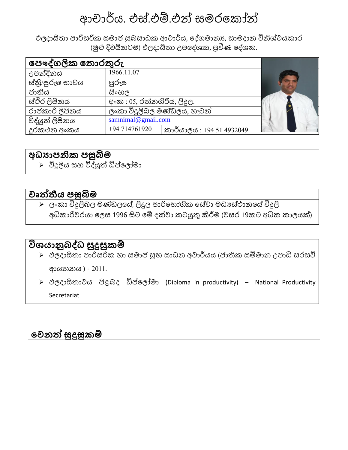# ආචාර්ය. එස්.එම්.එන් සමරක ෝන්

ඵලදායිතා පාරිසරික සමාජ සුබසාධක ආචාර්ය, දේශමානූ, සාමදාන විනිශ්චයකාර (මුළු දිවයිනටම) ඵලදායිතා උපදේශක, පුවීණ දේශක.

| පෞද්ගලික තොරතුරු |                             |                           |  |
|------------------|-----------------------------|---------------------------|--|
| උපන්දිනය         | 1966.11.07                  |                           |  |
| ස්තී/පූරුෂ භාවය  | පූරුෂ                       |                           |  |
| ජාතිය            | සිංහල                       |                           |  |
| ස්ථිර ලිපිනය     | අංක : 05, රත්නගිරිය, ලිදුල. |                           |  |
| රාජකාරි ලිපිනය   | ලංකා විදුලිබල මණ්ඩලය, හැටන් |                           |  |
| විද්යුත් ලිපිනය  | samminal@gmail.com          |                           |  |
| දුරකථන අංකය      | +94 714761920               | කාර්යාලය : +94 51 4932049 |  |

## <u>අධයාපනික පසු</u>බිම

 $\triangleright$  විදුලිය සහ විද්යුත් ඩිප්ලෝමා

#### **වෘත්තීයස බිම**

 $\triangleright$  ලංකා විදුලිබල මණ්ඩලයේ, ලිදුල පාරිභෝගික සේවා මධාස්ථානයේ විදුලි අධිකාරිවරයා ලෙස 1996 සිට මේ දක්වා කටයුතු කිරීම (වසර 19කට අධික කාලයක්)

# **විශයොනුබද්ධ්සබිදුබිකම්**

- ඵලදායිතා පාරිසරි හා සමාජ සුභ සාධන් අචාර්යය (ජාති සමිමාන් උපාධි සරසවි ආයතන්ය ) - 2011.
- $\triangleright$  ඵලදායිතාවය පිළබද ඩිප්ලෝමා (Diploma in productivity) National Productivity Secretariat

#### **පවනත්තසබිදුබිකම්**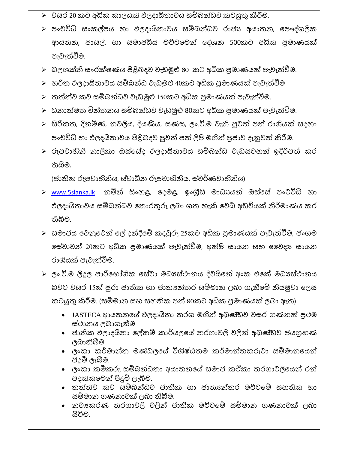- $\triangleright$  වසර 20 කට අධික කාලයක් ඵලදායිතාවය සම්බන්ධව කටයුතු කිරීම.
- $\triangleright$  පංචවිධි සංකල්පය හා ඵලදායිතාවය සම්බන්ධව රාජා අයාතන, පෞද්ගලික ආයතන, පාසල්, හා සමාජයීය මට්ටමෙන් දේශන 500කට අධික පුමාණයක් පැවැත්වීම.
- $\triangleright$  බලශක්ති සංරක්ෂණය පිළිබදව වැඩමුළු 60 කට අධික පුමාණයක් පැවැත්වීම.
- $\triangleright$  හරිත ඵලදායිතාවය සම්බන්ධ වැඩමුළු 40කට අධික පුමාණයක් පැවැත්වීම
- $\blacktriangleright$  තත්ත්ව කව සම්බන්ධව වැඩමුළු 150කට අධික පුමාණයක් පැවැත්වීම.
- $\triangleright$  ධනාත්මත චින්තනය සම්බන්ධව වැඩමුළු 80කට අධික පුමාණයක් පැවැත්විම.
- $\triangleright$  සිරිකත, දිනමිණ, නවලිය, දියණිය, සණස, ලං.වි.ම වැනි පුවත් පත් රාශියක් සදහා පංචවිධි හා ඵලදයිතාවය පිළිබදව පුවත් පත් ලිපි මගින් පුජාව දැනුවත් කිරීම.
- $\triangleright$  රූපවාහිනි නාලිකා ඔස්සේද ඵලදායිතාවය සම්බන්ධ වැඩසටහන් ඉදිරිපත් කර තිබීම.

(ජාතික රූපවාහිනිය, ස්වාධීන රූපවාහිනිය, ස්වර්ණවාහිනිය)

- $\triangleright$  [www.5slanka.lk](http://www.5slanka.lk/) නමින් සිංහළ, දෙමළ, ඉංගීුසී මාධායෙන් ඔස්සේ පංචවිධි හා ඵලදායිතාවය සම්බන්ධව තොරතුරු ලබා ගත හැකි වෙබ් අඩවියක් නිර්මාණය කර තිබීම.
- $\blacktriangleright$  සමාජය වෙනුවෙන් ලේ දන්දීමේ කදවුරු 25කට අධික පුමාණයක් පැවැත්වීම, ජංගම සේවාවන් 20කට අධික පුමාණයක් පැවැත්වීම, අක්ෂි සායන සහ වෛදා සායන රාශියක් පැවැත්වීම.
- $\triangleright$  ලං.වි.ම ලිදුල පාරිභෝගික සේවා මධායස්ථානය දිවයිනේ අංක එකේ මධායස්ථානය බවට වසර 15ක් පුරා ජාතික හා ජාතූත්තර සම්මාන ලබා ගැනීමේ නියමුවා ලෙස කටයුතු කිරීම. (සම්මාන සහ සහතික පත් 90කට අධික පුමාණයක් ලබා ඇත)
	- JASTECA ආයතනයේ ඵලදායිතා තරග මගින් අඛණ්ඩව වසර ගණනක් පුථම ස්ථානය ලබාගැනීම
	- ජාතික ඵලාදයිතා ලේකම් කාර්යලයේ තරගාවලි වලින් අඛණ්ඩව ජයගුහණ ලබාතිබීම
	- ලංකා කර්මාන්ත මණ්ඩලයේ විශිෂ්ඨතම කර්මාන්තකරුවා සම්මානයෙන් පිදුම් ලැබීම.
	- ලංකා කම්කරු සම්බන්ධතා අයාතනයේ සමාජ කථිකා තරගාවලියෙන් රන් පදක් කමන් පිදුම් ලැබීම.
	- තත්ත්ව කව සම්බන්ධව ජාතික හා ජාත $x$ න්තර මට්ටමේ සහතික හා සම්මාන ගණනාවක් ලබා තිබීම.
	- නවාකරණ තරගාවලි වලින් ජාතික මටිටමේ සම්මාන ගණනාවක් ලබා සටීම.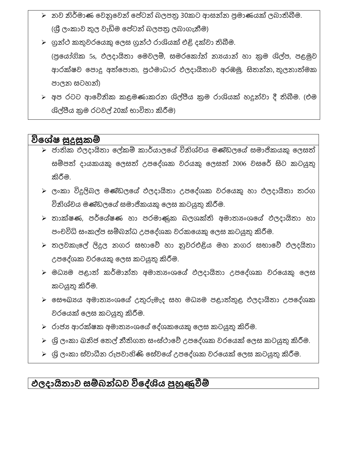- $\triangleright$  නව නිර්මාණ වෙනුවෙන් පේටන් බලපතු 30කට ආසන්න පුමාණයක් ලබාතිබීම. (ශී ලංකාව තුල වැඩිම පේටන් බලපතු ලබාගැනීම)
- $\triangleright$  ගුන්ථ කතුවරයෙකු ලෙස ගුන්ථ රාශියක් එළි දක්වා තිබීම. (පුයෝගික 5s, ඵලදායිතා මෙවලම්, සමරකෝන් නායාන් හා කුම ශිල්ප, පළමුව ආරක්ෂව පොදු අත්පොත, පුථමාධාර ඵලදායිතාව අරඹමු, සිතන්න, තුලනාත්මක පාලන් සටහන්)
- $\triangleright$  අප රටට ආවේනික කළමණාකරන ශිල්පීය කුම රාශියක් හදුන්වා දී තිබීම. (එම ශිල්පීය කුම රටවල් 20ක් භාවිතා කිරීම)

#### විශේෂ සුදුසුකම්

- $\blacktriangleright$  ජාතික ඵලදායිතා ලේකම් කාර්යාලයේ විනිශ්චය මණ්ඩලයේ සමාජිකයකු ලෙසත් සම්පත් දායකයකු ලෙසත් උපදේශක වරයකු ලෙසත් 2006 වසරේ සිට කටයුතු කිරීම.
- $\triangleright$  ලංකා විදුලිබල මණ්ඩලයේ ඵලදායිතා උපදේශක වරයෙකු හා ඵලදායිතා තරග විනිශ්චය මණ්ඩලයේ සමාජිකයකු ලෙස කටයුතු කිරීම.
- $\blacktriangleright$  තාක්ෂණ, පර්යේෂණ හා පරමාණුක බලශක්ති අමාතාගෙයේ ඵලදායිතා හා පංචවිධි සංකල්ප සම්බන්ධ උපදේශක වරකයෙකු ලෙස කටයුතු කිරීම.
- $\triangleright$  තලවකැලේ ලිදුල නගර සභාවේ හා නුවරඑළිය මහ නගර සභාවේ ඵලදයිතා උපදේශක වරයෙකු ලෙස කටයුතු කිරීම.
- $\triangleright$  මධාගම පළාත් කර්මාන්ත අමාතාංශයේ ඵලදායිතා උපදේශක වරයෙකු ලෙස කටයුතු කිරීම.
- $\triangleright$  සෞඛාගය අමාතාගයෙේ උතුරුමැද සහ මධාගම පළාත්තුළ ඵලදායිතා උපදේශක වරයෙක් ලෙස කටයුතු කිරීම.
- $\triangleright$  රාජා අාරක්ෂක අමාතා ංශයේ දේශකයෙකු ලෙස කටයුතු කිරිම.
- $\triangleright$  ශි ලංකා ඛනිජ තෙල් නීතිගත සංස්ථාවේ උපදේශක වරයෙක් ලෙස කටයුතු කිරීම.
- $\triangleright$  ශිූ ලංකා ස්වාධීන රුපවාහිණි සේවයේ උපදේශක වරයෙක් ලෙස කටයුතු කිරීම.

# **ඵලදොයි ොවසසම්බන්ධ්වසවිපද්ශියසපුහුණුවීම්**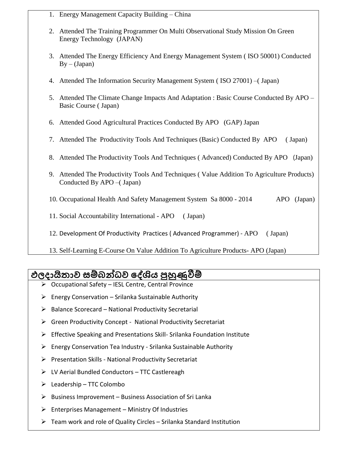- 1. Energy Management Capacity Building China
- 2. Attended The Training Programmer On Multi Observational Study Mission On Green Energy Technology (JAPAN)
- 3. Attended The Energy Efficiency And Energy Management System ( ISO 50001) Conducted  $By - (Japan)$
- 4. Attended The Information Security Management System ( ISO 27001) –( Japan)
- 5. Attended The Climate Change Impacts And Adaptation : Basic Course Conducted By APO Basic Course ( Japan)
- 6. Attended Good Agricultural Practices Conducted By APO (GAP) Japan
- 7. Attended The Productivity Tools And Techniques (Basic) Conducted By APO ( Japan)
- 8. Attended The Productivity Tools And Techniques ( Advanced) Conducted By APO (Japan)
- 9. Attended The Productivity Tools And Techniques ( Value Addition To Agriculture Products) Conducted By APO –( Japan)
- 10. Occupational Health And Safety Management System Sa 8000 2014 APO (Japan)
- 11. Social Accountability International APO ( Japan)
- 12. Development Of Productivity Practices ( Advanced Programmer) APO ( Japan)
- 13. Self-Learning E-Course On Value Addition To Agriculture Products- APO (Japan)

## **ඵලදොයි ොවසසම්බන්ධ්වසපද්ශියසපුහුණුවීම්**

- Occupational Safety IESL Centre, Central Province
- $\triangleright$  Energy Conservation Srilanka Sustainable Authority
- $\triangleright$  Balance Scorecard National Productivity Secretarial
- Green Productivity Concept National Productivity Secretariat
- Effective Speaking and Presentations Skill- Srilanka Foundation Institute
- $\triangleright$  Energy Conservation Tea Industry Srilanka Sustainable Authority
- $\triangleright$  Presentation Skills National Productivity Secretariat
- $\triangleright$  LV Aerial Bundled Conductors TTC Castlereagh
- $\triangleright$  Leadership TTC Colombo
- $\triangleright$  Business Improvement Business Association of Sri Lanka
- $\triangleright$  Enterprises Management Ministry Of Industries
- $\triangleright$  Team work and role of Quality Circles Srilanka Standard Institution